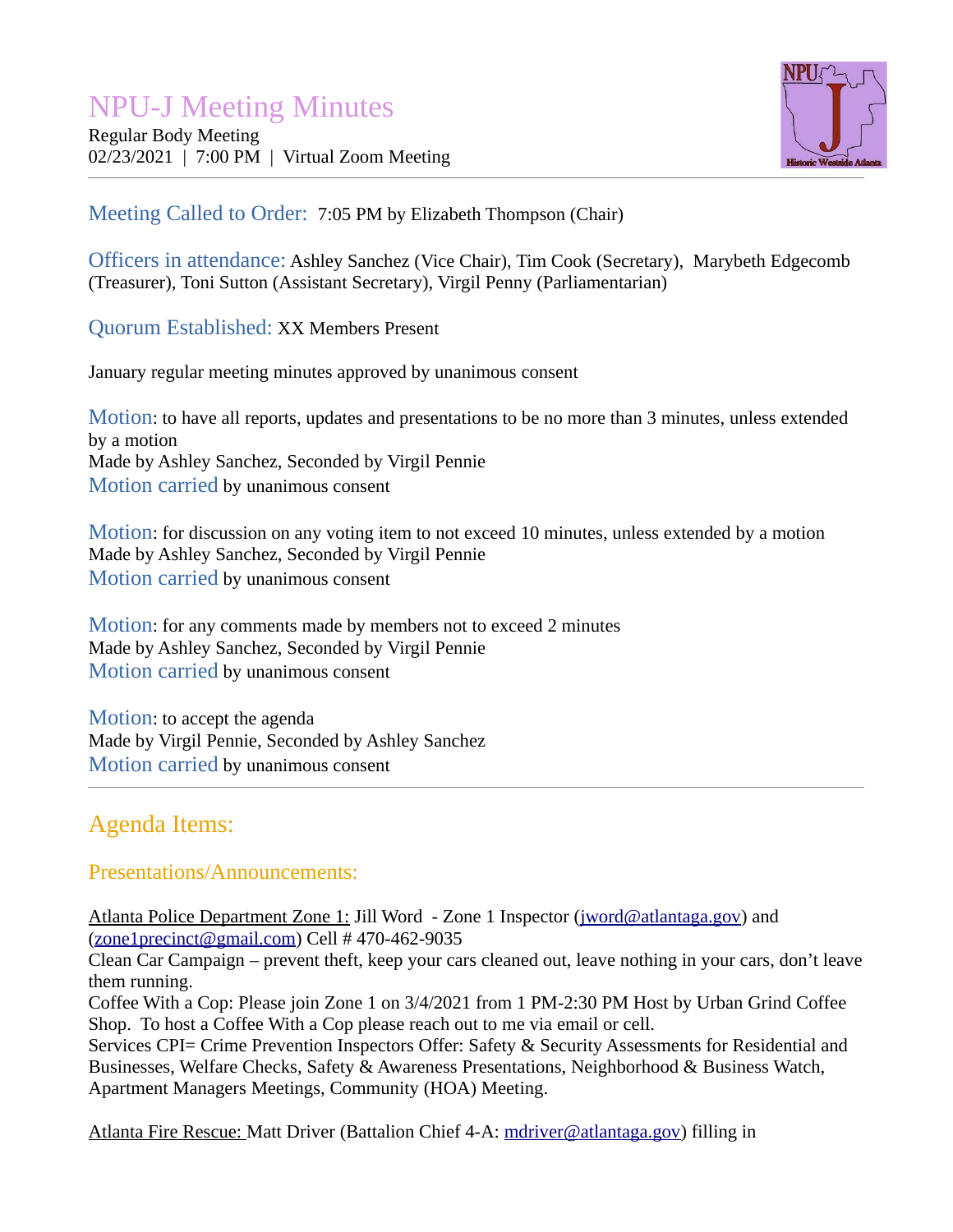# NPU-J Meeting Minutes

Regular Body Meeting 02/23/2021 | 7:00 PM | Virtual Zoom Meeting



#### Meeting Called to Order: 7:05 PM by Elizabeth Thompson (Chair)

Officers in attendance: Ashley Sanchez (Vice Chair), Tim Cook (Secretary), Marybeth Edgecomb (Treasurer), Toni Sutton (Assistant Secretary), Virgil Penny (Parliamentarian)

Quorum Established: XX Members Present

January regular meeting minutes approved by unanimous consent

Motion: to have all reports, updates and presentations to be no more than 3 minutes, unless extended by a motion Made by Ashley Sanchez, Seconded by Virgil Pennie Motion carried by unanimous consent

Motion: for discussion on any voting item to not exceed 10 minutes, unless extended by a motion Made by Ashley Sanchez, Seconded by Virgil Pennie Motion carried by unanimous consent

Motion: for any comments made by members not to exceed 2 minutes Made by Ashley Sanchez, Seconded by Virgil Pennie Motion carried by unanimous consent

Motion: to accept the agenda Made by Virgil Pennie, Seconded by Ashley Sanchez Motion carried by unanimous consent

## Agenda Items:

#### Presentations/Announcements:

Atlanta Police Department Zone 1: Jill Word - Zone 1 Inspector ([jword@atlantaga.gov](mailto:jword@atlantaga.gov)) and  $(zone1\textrm{precinct}@\textrm{gmail.com})$  Cell # 470-462-9035

Clean Car Campaign – prevent theft, keep your cars cleaned out, leave nothing in your cars, don't leave them running.

Coffee With a Cop: Please join Zone 1 on 3/4/2021 from 1 PM-2:30 PM Host by Urban Grind Coffee Shop. To host a Coffee With a Cop please reach out to me via email or cell.

Services CPI= Crime Prevention Inspectors Offer: Safety & Security Assessments for Residential and Businesses, Welfare Checks, Safety & Awareness Presentations, Neighborhood & Business Watch, Apartment Managers Meetings, Community (HOA) Meeting.

Atlanta Fire Rescue: Matt Driver (Battalion Chief 4-A: [mdriver@atlantaga.gov](mailto:mdriver@atlantaga.gov)) filling in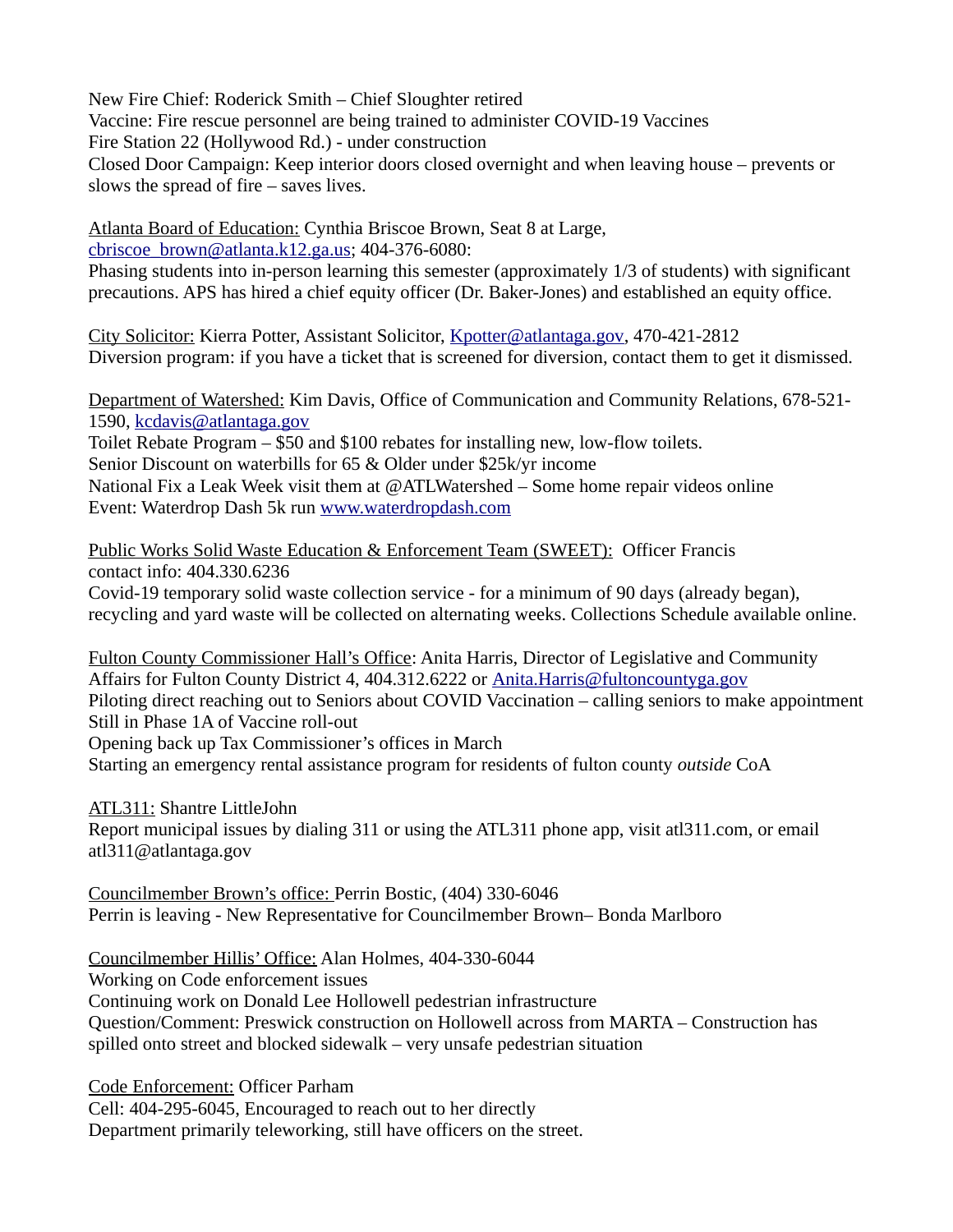New Fire Chief: Roderick Smith – Chief Sloughter retired

Vaccine: Fire rescue personnel are being trained to administer COVID-19 Vaccines

Fire Station 22 (Hollywood Rd.) - under construction

Closed Door Campaign: Keep interior doors closed overnight and when leaving house – prevents or slows the spread of fire – saves lives.

Atlanta Board of Education: Cynthia Briscoe Brown, Seat 8 at Large, [cbriscoe\\_brown@atlanta.k12.ga.us](mailto:cbriscoe_brown@atlanta.k12.ga.us); 404-376-6080:

Phasing students into in-person learning this semester (approximately 1/3 of students) with significant precautions. APS has hired a chief equity officer (Dr. Baker-Jones) and established an equity office.

City Solicitor: Kierra Potter, Assistant Solicitor, [Kpotter@atlantaga.gov](mailto:Kpotter@atlantaga.gov), 470-421-2812 Diversion program: if you have a ticket that is screened for diversion, contact them to get it dismissed.

Department of Watershed: Kim Davis, Office of Communication and Community Relations, 678-521- 1590, [kcdavis@atlantaga.gov](mailto:kcdavis@atlantaga.gov)

Toilet Rebate Program – \$50 and \$100 rebates for installing new, low-flow toilets. Senior Discount on waterbills for 65 & Older under \$25k/yr income National Fix a Leak Week visit them at  $\mathcal{Q}$ ATLWatershed – Some home repair videos online Event: Waterdrop Dash 5k run [www.waterdropdash.com](http://www.waterdropdash.com/)

 Public Works Solid Waste Education & Enforcement Team (SWEET) : Officer Francis contact info: 404.330.6236

Covid-19 temporary solid waste collection service - for a minimum of 90 days (already began), recycling and yard waste will be collected on alternating weeks. Collections Schedule available online.

Fulton County Commissioner Hall's Office: Anita Harris, Director of Legislative and Community Affairs for Fulton County District 4, 404.312.6222 or [Anita.Harris@fultoncountyga.gov](mailto:Anita.Harris@fultoncountyga.gov) Piloting direct reaching out to Seniors about COVID Vaccination – calling seniors to make appointment Still in Phase 1A of Vaccine roll-out Opening back up Tax Commissioner's offices in March Starting an emergency rental assistance program for residents of fulton county *outside* CoA

ATL311: Shantre LittleJohn Report municipal issues by dialing 311 or using the ATL311 phone app, visit atl311.com, or email atl311@atlantaga.gov

Councilmember Brown's office: Perrin Bostic, (404) 330-6046 Perrin is leaving - New Representative for Councilmember Brown– Bonda Marlboro

Councilmember Hillis' Office: Alan Holmes, 404-330-6044

Working on Code enforcement issues

Continuing work on Donald Lee Hollowell pedestrian infrastructure Question/Comment: Preswick construction on Hollowell across from MARTA – Construction has spilled onto street and blocked sidewalk – very unsafe pedestrian situation

Code Enforcement: Officer Parham

Cell: 404-295-6045, Encouraged to reach out to her directly Department primarily teleworking, still have officers on the street.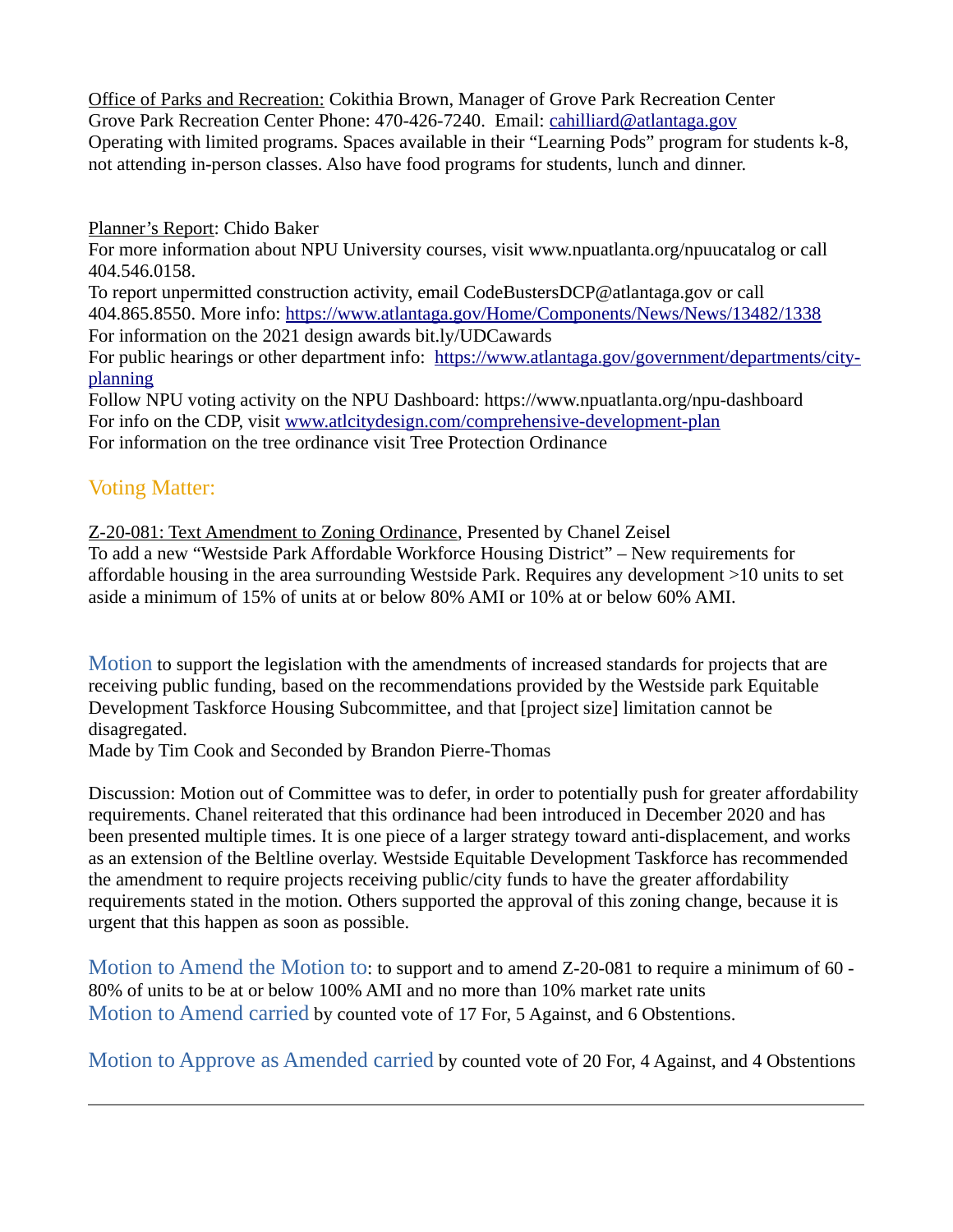Office of Parks and Recreation: Cokithia Brown, Manager of Grove Park Recreation Center Grove Park Recreation Center Phone: 470-426-7240. Email: [cahilliard@atlantaga.gov](mailto:cahilliard@atlantaga.gov) Operating with limited programs. Spaces available in their "Learning Pods" program for students k-8, not attending in-person classes. Also have food programs for students, lunch and dinner.

Planner's Report: Chido Baker

For more information about NPU University courses, visit www.npuatlanta.org/npuucatalog or call 404.546.0158.

To report unpermitted construction activity, email CodeBustersDCP@atlantaga.gov or call 404.865.8550. More info:<https://www.atlantaga.gov/Home/Components/News/News/13482/1338> For information on the 2021 design awards bit.ly/UDCawards

For public hearings or other department info: [https://www.atlantaga.gov/government/departments/city](https://www.atlantaga.gov/government/departments/city-planning)[planning](https://www.atlantaga.gov/government/departments/city-planning)

Follow NPU voting activity on the NPU Dashboard: https://www.npuatlanta.org/npu-dashboard For info on the CDP, visit [www.atlcitydesign.com/comprehensive-development-plan](http://www.atlcitydesign.com/comprehensive-development-plan) For information on the tree ordinance visit Tree Protection Ordinance

### Voting Matter:

Z-20-081: Text Amendment to Zoning Ordinance, Presented by Chanel Zeisel To add a new "Westside Park Affordable Workforce Housing District" – New requirements for affordable housing in the area surrounding Westside Park. Requires any development >10 units to set aside a minimum of 15% of units at or below 80% AMI or 10% at or below 60% AMI.

Motion to support the legislation with the amendments of increased standards for projects that are receiving public funding, based on the recommendations provided by the Westside park Equitable Development Taskforce Housing Subcommittee, and that [project size] limitation cannot be disagregated.

Made by Tim Cook and Seconded by Brandon Pierre-Thomas

Discussion: Motion out of Committee was to defer, in order to potentially push for greater affordability requirements. Chanel reiterated that this ordinance had been introduced in December 2020 and has been presented multiple times. It is one piece of a larger strategy toward anti-displacement, and works as an extension of the Beltline overlay. Westside Equitable Development Taskforce has recommended the amendment to require projects receiving public/city funds to have the greater affordability requirements stated in the motion. Others supported the approval of this zoning change, because it is urgent that this happen as soon as possible.

Motion to Amend the Motion to: to support and to amend Z-20-081 to require a minimum of 60 - 80% of units to be at or below 100% AMI and no more than 10% market rate units Motion to Amend carried by counted vote of 17 For, 5 Against, and 6 Obstentions.

Motion to Approve as Amended carried by counted vote of 20 For, 4 Against, and 4 Obstentions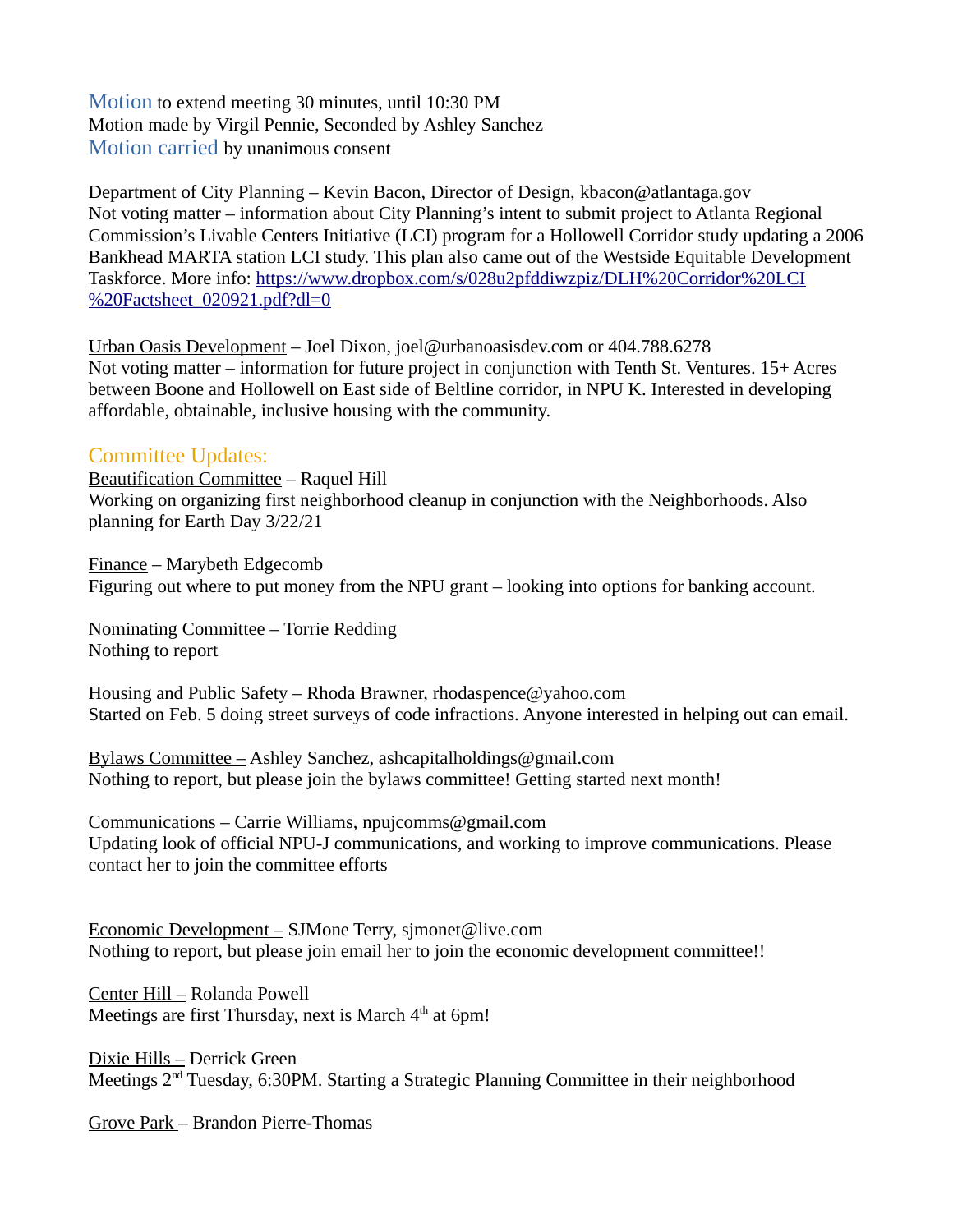Motion to extend meeting 30 minutes, until 10:30 PM Motion made by Virgil Pennie, Seconded by Ashley Sanchez Motion carried by unanimous consent

Department of City Planning – Kevin Bacon, Director of Design, kbacon@atlantaga.gov Not voting matter – information about City Planning's intent to submit project to Atlanta Regional Commission's Livable Centers Initiative (LCI) program for a Hollowell Corridor study updating a 2006 Bankhead MARTA station LCI study. This plan also came out of the Westside Equitable Development Taskforce. More info: [https://www.dropbox.com/s/028u2pfddiwzpiz/DLH%20Corridor%20LCI](https://www.dropbox.com/s/028u2pfddiwzpiz/DLH%20Corridor%20LCI%20Factsheet_020921.pdf?dl=0) [%20Factsheet\\_020921.pdf?dl=0](https://www.dropbox.com/s/028u2pfddiwzpiz/DLH%20Corridor%20LCI%20Factsheet_020921.pdf?dl=0)

Urban Oasis Development – Joel Dixon, joel@urbanoasisdev.com or 404.788.6278 Not voting matter – information for future project in conjunction with Tenth St. Ventures. 15+ Acres between Boone and Hollowell on East side of Beltline corridor, in NPU K. Interested in developing affordable, obtainable, inclusive housing with the community.

#### Committee Updates:

Beautification Committee – Raquel Hill Working on organizing first neighborhood cleanup in conjunction with the Neighborhoods. Also planning for Earth Day 3/22/21

Finance – Marybeth Edgecomb Figuring out where to put money from the NPU grant – looking into options for banking account.

Nominating Committee – Torrie Redding Nothing to report

Housing and Public Safety – Rhoda Brawner, rhodaspence@yahoo.com Started on Feb. 5 doing street surveys of code infractions. Anyone interested in helping out can email.

Bylaws Committee – Ashley Sanchez, ashcapitalholdings@gmail.com Nothing to report, but please join the bylaws committee! Getting started next month!

Communications – Carrie Williams, npujcomms@gmail.com Updating look of official NPU-J communications, and working to improve communications. Please contact her to join the committee efforts

Economic Development – SJMone Terry, sjmonet@live.com Nothing to report, but please join email her to join the economic development committee!!

Center Hill – Rolanda Powell Meetings are first Thursday, next is March 4<sup>th</sup> at 6pm!

Dixie Hills – Derrick Green Meetings 2<sup>nd</sup> Tuesday, 6:30PM. Starting a Strategic Planning Committee in their neighborhood

Grove Park – Brandon Pierre-Thomas